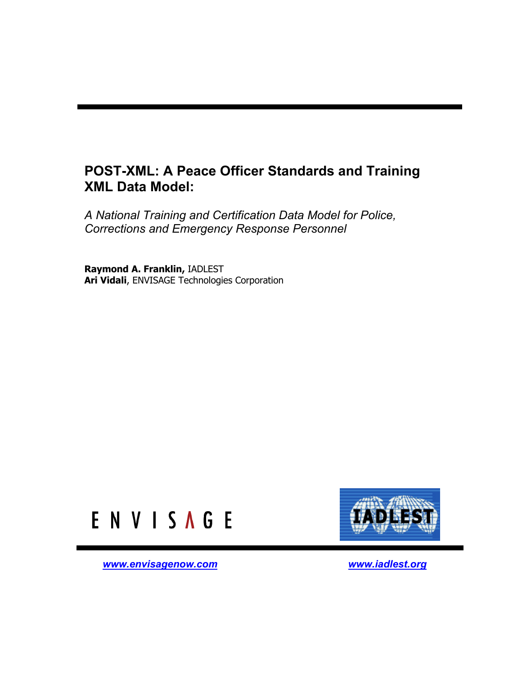# **POST-XML: A Peace Officer Standards and Training XML Data Model:**

*A National Training and Certification Data Model for Police, Corrections and Emergency Response Personnel* 

**Raymond A. Franklin,** IADLEST **Ari Vidali**, ENVISAGE Technologies Corporation





*[www.envisagenow.com](http://www.envisagenow.com/) [www.iadlest.org](http://www.iadlest.org/)*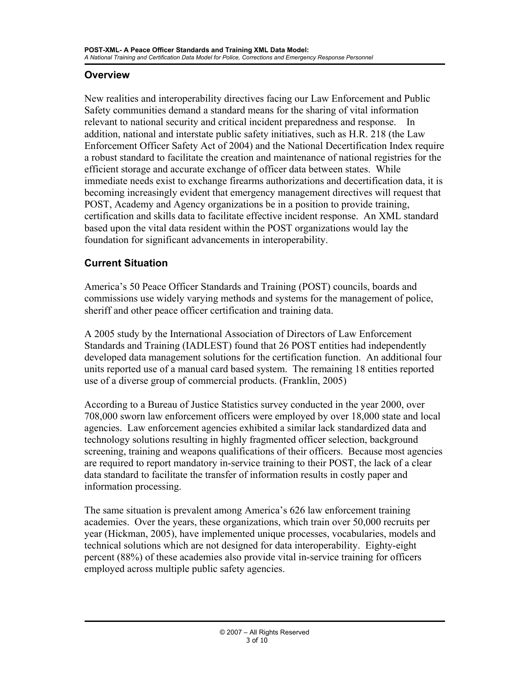#### <span id="page-2-0"></span>**Overview**

New realities and interoperability directives facing our Law Enforcement and Public Safety communities demand a standard means for the sharing of vital information relevant to national security and critical incident preparedness and response. In addition, national and interstate public safety initiatives, such as H.R. 218 (the Law Enforcement Officer Safety Act of 2004) and the National Decertification Index require a robust standard to facilitate the creation and maintenance of national registries for the efficient storage and accurate exchange of officer data between states. While immediate needs exist to exchange firearms authorizations and decertification data, it is becoming increasingly evident that emergency management directives will request that POST, Academy and Agency organizations be in a position to provide training, certification and skills data to facilitate effective incident response. An XML standard based upon the vital data resident within the POST organizations would lay the foundation for significant advancements in interoperability.

### **Current Situation**

America's 50 Peace Officer Standards and Training (POST) councils, boards and commissions use widely varying methods and systems for the management of police, sheriff and other peace officer certification and training data.

A 2005 study by the International Association of Directors of Law Enforcement Standards and Training (IADLEST) found that 26 POST entities had independently developed data management solutions for the certification function. An additional four units reported use of a manual card based system. The remaining 18 entities reported use of a diverse group of commercial products. (Franklin, 2005)

According to a Bureau of Justice Statistics survey conducted in the year 2000, over 708,000 sworn law enforcement officers were employed by over 18,000 state and local agencies. Law enforcement agencies exhibited a similar lack standardized data and technology solutions resulting in highly fragmented officer selection, background screening, training and weapons qualifications of their officers. Because most agencies are required to report mandatory in-service training to their POST, the lack of a clear data standard to facilitate the transfer of information results in costly paper and information processing.

The same situation is prevalent among America's 626 law enforcement training academies. Over the years, these organizations, which train over 50,000 recruits per year (Hickman, 2005), have implemented unique processes, vocabularies, models and technical solutions which are not designed for data interoperability. Eighty-eight percent (88%) of these academies also provide vital in-service training for officers employed across multiple public safety agencies.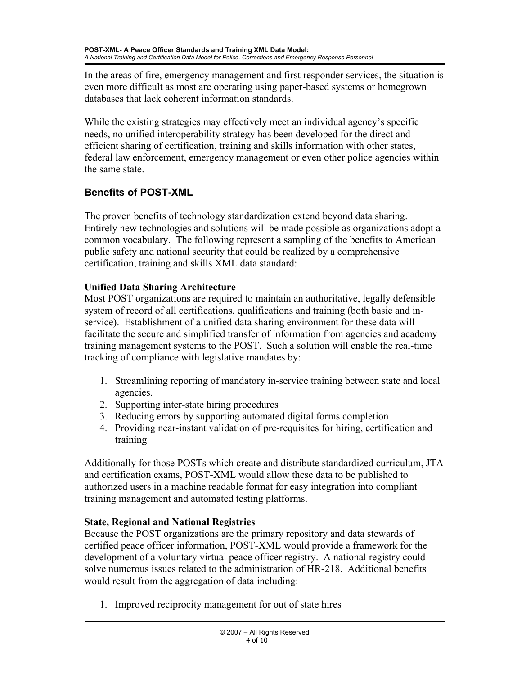<span id="page-3-0"></span>In the areas of fire, emergency management and first responder services, the situation is even more difficult as most are operating using paper-based systems or homegrown databases that lack coherent information standards.

While the existing strategies may effectively meet an individual agency's specific needs, no unified interoperability strategy has been developed for the direct and efficient sharing of certification, training and skills information with other states, federal law enforcement, emergency management or even other police agencies within the same state.

# **Benefits of POST-XML**

The proven benefits of technology standardization extend beyond data sharing. Entirely new technologies and solutions will be made possible as organizations adopt a common vocabulary. The following represent a sampling of the benefits to American public safety and national security that could be realized by a comprehensive certification, training and skills XML data standard:

# **Unified Data Sharing Architecture**

Most POST organizations are required to maintain an authoritative, legally defensible system of record of all certifications, qualifications and training (both basic and inservice). Establishment of a unified data sharing environment for these data will facilitate the secure and simplified transfer of information from agencies and academy training management systems to the POST. Such a solution will enable the real-time tracking of compliance with legislative mandates by:

- 1. Streamlining reporting of mandatory in-service training between state and local agencies.
- 2. Supporting inter-state hiring procedures
- 3. Reducing errors by supporting automated digital forms completion
- 4. Providing near-instant validation of pre-requisites for hiring, certification and training

Additionally for those POSTs which create and distribute standardized curriculum, JTA and certification exams, POST-XML would allow these data to be published to authorized users in a machine readable format for easy integration into compliant training management and automated testing platforms.

## **State, Regional and National Registries**

Because the POST organizations are the primary repository and data stewards of certified peace officer information, POST-XML would provide a framework for the development of a voluntary virtual peace officer registry. A national registry could solve numerous issues related to the administration of HR-218. Additional benefits would result from the aggregation of data including:

1. Improved reciprocity management for out of state hires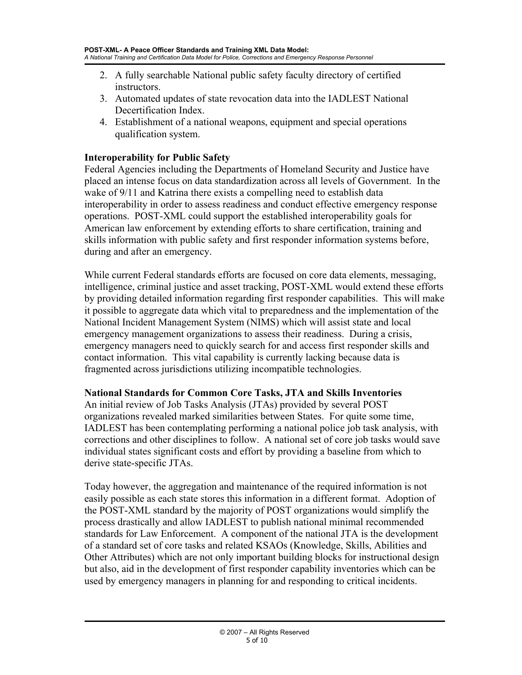- <span id="page-4-0"></span>2. A fully searchable National public safety faculty directory of certified instructors.
- 3. Automated updates of state revocation data into the IADLEST National Decertification Index.
- 4. Establishment of a national weapons, equipment and special operations qualification system.

#### **Interoperability for Public Safety**

Federal Agencies including the Departments of Homeland Security and Justice have placed an intense focus on data standardization across all levels of Government. In the wake of 9/11 and Katrina there exists a compelling need to establish data interoperability in order to assess readiness and conduct effective emergency response operations. POST-XML could support the established interoperability goals for American law enforcement by extending efforts to share certification, training and skills information with public safety and first responder information systems before, during and after an emergency.

While current Federal standards efforts are focused on core data elements, messaging, intelligence, criminal justice and asset tracking, POST-XML would extend these efforts by providing detailed information regarding first responder capabilities. This will make it possible to aggregate data which vital to preparedness and the implementation of the National Incident Management System (NIMS) which will assist state and local emergency management organizations to assess their readiness. During a crisis, emergency managers need to quickly search for and access first responder skills and contact information. This vital capability is currently lacking because data is fragmented across jurisdictions utilizing incompatible technologies.

#### **National Standards for Common Core Tasks, JTA and Skills Inventories**

An initial review of Job Tasks Analysis (JTAs) provided by several POST organizations revealed marked similarities between States. For quite some time, IADLEST has been contemplating performing a national police job task analysis, with corrections and other disciplines to follow. A national set of core job tasks would save individual states significant costs and effort by providing a baseline from which to derive state-specific JTAs.

Today however, the aggregation and maintenance of the required information is not easily possible as each state stores this information in a different format. Adoption of the POST-XML standard by the majority of POST organizations would simplify the process drastically and allow IADLEST to publish national minimal recommended standards for Law Enforcement. A component of the national JTA is the development of a standard set of core tasks and related KSAOs (Knowledge, Skills, Abilities and Other Attributes) which are not only important building blocks for instructional design but also, aid in the development of first responder capability inventories which can be used by emergency managers in planning for and responding to critical incidents.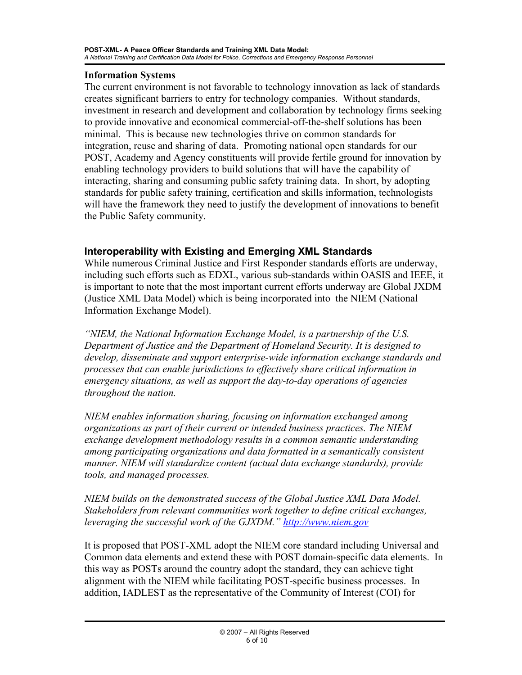#### <span id="page-5-0"></span>**Information Systems**

The current environment is not favorable to technology innovation as lack of standards creates significant barriers to entry for technology companies. Without standards, investment in research and development and collaboration by technology firms seeking to provide innovative and economical commercial-off-the-shelf solutions has been minimal. This is because new technologies thrive on common standards for integration, reuse and sharing of data. Promoting national open standards for our POST, Academy and Agency constituents will provide fertile ground for innovation by enabling technology providers to build solutions that will have the capability of interacting, sharing and consuming public safety training data. In short, by adopting standards for public safety training, certification and skills information, technologists will have the framework they need to justify the development of innovations to benefit the Public Safety community.

#### **Interoperability with Existing and Emerging XML Standards**

While numerous Criminal Justice and First Responder standards efforts are underway, including such efforts such as EDXL, various sub-standards within OASIS and IEEE, it is important to note that the most important current efforts underway are Global JXDM (Justice XML Data Model) which is being incorporated into the NIEM (National Information Exchange Model).

*"NIEM, the National Information Exchange Model, is a partnership of the U.S. Department of Justice and the Department of Homeland Security. It is designed to develop, disseminate and support enterprise-wide information exchange standards and processes that can enable jurisdictions to effectively share critical information in emergency situations, as well as support the day-to-day operations of agencies throughout the nation.* 

*NIEM enables information sharing, focusing on information exchanged among organizations as part of their current or intended business practices. The NIEM exchange development methodology results in a common semantic understanding among participating organizations and data formatted in a semantically consistent manner. NIEM will standardize content (actual data exchange standards), provide tools, and managed processes.* 

*NIEM builds on the demonstrated success of the Global Justice XML Data Model. Stakeholders from relevant communities work together to define critical exchanges, leveraging the successful work of the GJXDM." [http://www.niem.gov](http://www.niem.gov/)* 

It is proposed that POST-XML adopt the NIEM core standard including Universal and Common data elements and extend these with POST domain-specific data elements. In this way as POSTs around the country adopt the standard, they can achieve tight alignment with the NIEM while facilitating POST-specific business processes. In addition, IADLEST as the representative of the Community of Interest (COI) for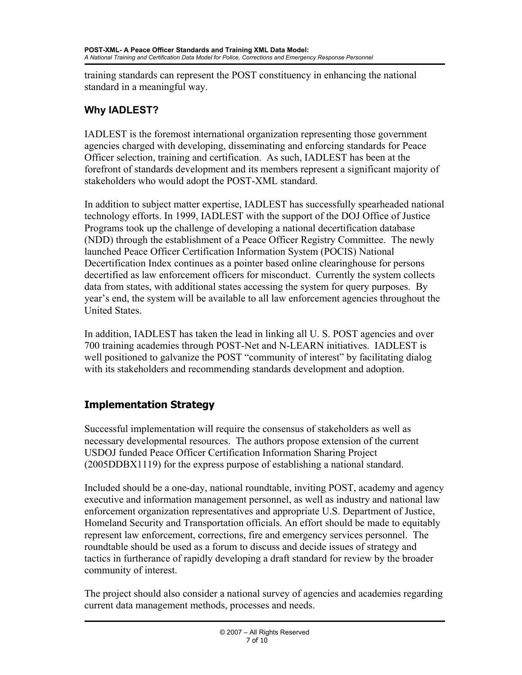<span id="page-6-0"></span>training standards can represent the POST constituency in enhancing the national standard in a meaningful way.

# **Why IADLEST?**

IADLEST is the foremost international organization representing those government agencies charged with developing, disseminating and enforcing standards for Peace Officer selection, training and certification. As such, IADLEST has been at the forefront of standards development and its members represent a significant majority of stakeholders who would adopt the POST-XML standard.

In addition to subject matter expertise, IADLEST has successfully spearheaded national technology efforts. In 1999, IADLEST with the support of the DOJ Office of Justice Programs took up the challenge of developing a national decertification database (NDD) through the establishment of a Peace Officer Registry Committee. The newly launched Peace Officer Certification Information System (POCIS) National Decertification Index continues as a pointer based online clearinghouse for persons decertified as law enforcement officers for misconduct. Currently the system collects data from states, with additional states accessing the system for query purposes. By year's end, the system will be available to all law enforcement agencies throughout the United States.

In addition, IADLEST has taken the lead in linking all U. S. POST agencies and over 700 training academies through POST-Net and N-LEARN initiatives. IADLEST is well positioned to galvanize the POST "community of interest" by facilitating dialog with its stakeholders and recommending standards development and adoption.

# **Implementation Strategy**

Successful implementation will require the consensus of stakeholders as well as necessary developmental resources. The authors propose extension of the current USDOJ funded Peace Officer Certification Information Sharing Project (2005DDBX1119) for the express purpose of establishing a national standard.

Included should be a one-day, national roundtable, inviting POST, academy and agency executive and information management personnel, as well as industry and national law enforcement organization representatives and appropriate U.S. Department of Justice, Homeland Security and Transportation officials. An effort should be made to equitably represent law enforcement, corrections, fire and emergency services personnel. The roundtable should be used as a forum to discuss and decide issues of strategy and tactics in furtherance of rapidly developing a draft standard for review by the broader community of interest.

The project should also consider a national survey of agencies and academies regarding current data management methods, processes and needs.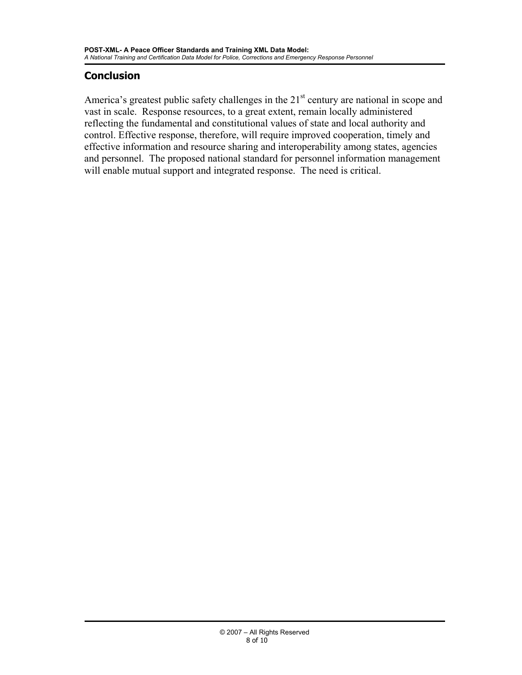## <span id="page-7-0"></span>**Conclusion**

America's greatest public safety challenges in the  $21<sup>st</sup>$  century are national in scope and vast in scale. Response resources, to a great extent, remain locally administered reflecting the fundamental and constitutional values of state and local authority and control. Effective response, therefore, will require improved cooperation, timely and effective information and resource sharing and interoperability among states, agencies and personnel. The proposed national standard for personnel information management will enable mutual support and integrated response. The need is critical.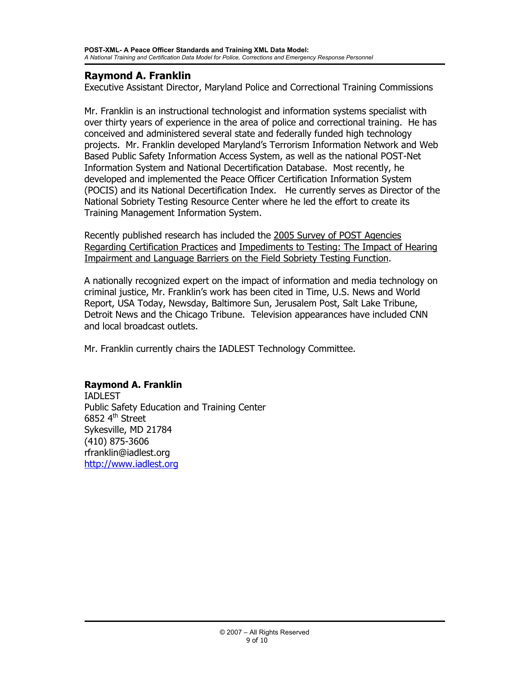### **Raymond A. Franklin**

Executive Assistant Director, Maryland Police and Correctional Training Commissions

Mr. Franklin is an instructional technologist and information systems specialist with over thirty years of experience in the area of police and correctional training. He has conceived and administered several state and federally funded high technology projects. Mr. Franklin developed Maryland's Terrorism Information Network and Web Based Public Safety Information Access System, as well as the national POST-Net Information System and National Decertification Database. Most recently, he developed and implemented the Peace Officer Certification Information System (POCIS) and its National Decertification Index. He currently serves as Director of the National Sobriety Testing Resource Center where he led the effort to create its Training Management Information System.

Recently published research has included the 2005 Survey of POST Agencies Regarding Certification Practices and Impediments to Testing: The Impact of Hearing Impairment and Language Barriers on the Field Sobriety Testing Function.

A nationally recognized expert on the impact of information and media technology on criminal justice, Mr. Franklin's work has been cited in Time, U.S. News and World Report, USA Today, Newsday, Baltimore Sun, Jerusalem Post, Salt Lake Tribune, Detroit News and the Chicago Tribune. Television appearances have included CNN and local broadcast outlets.

Mr. Franklin currently chairs the IADLEST Technology Committee.

### **Raymond A. Franklin**

IADLEST Public Safety Education and Training Center  $6852$  4<sup>th</sup> Street Sykesville, MD 21784 (410) 875-3606 rfranklin@iadlest.org [http://www.iadlest.org](http://www.iadlest.org/)